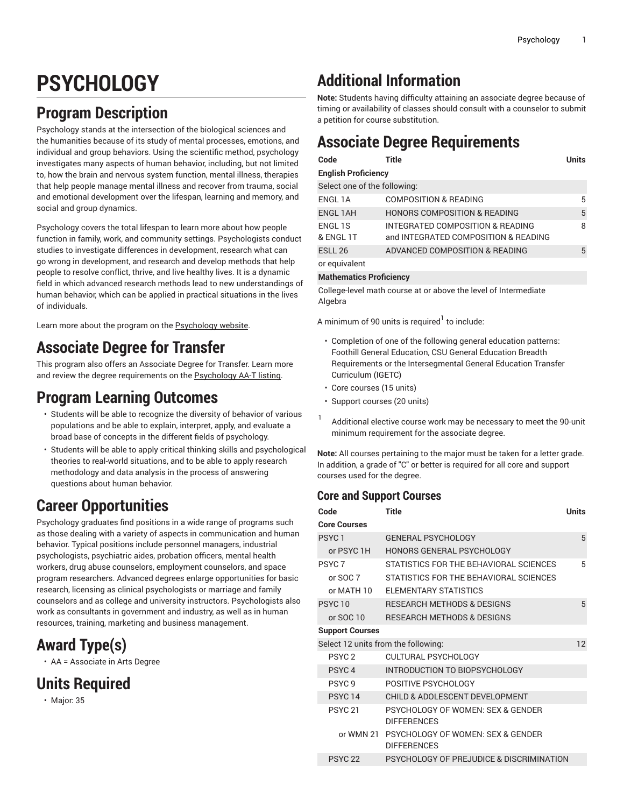# **PSYCHOLOGY**

### **Program Description**

Psychology stands at the intersection of the biological sciences and the humanities because of its study of mental processes, emotions, and individual and group behaviors. Using the scientific method, psychology investigates many aspects of human behavior, including, but not limited to, how the brain and nervous system function, mental illness, therapies that help people manage mental illness and recover from trauma, social and emotional development over the lifespan, learning and memory, and social and group dynamics.

Psychology covers the total lifespan to learn more about how people function in family, work, and community settings. Psychologists conduct studies to investigate differences in development, research what can go wrong in development, and research and develop methods that help people to resolve conflict, thrive, and live healthy lives. It is a dynamic field in which advanced research methods lead to new understandings of human behavior, which can be applied in practical situations in the lives of individuals.

Learn more about the program on the **[Psychology](https://foothill.edu/psychology/) website**.

#### **Associate Degree for Transfer**

This program also offers an Associate Degree for Transfer. Learn more and review the degree requirements on the [Psychology](http://catalog.foothill.edu/degrees-certificates/psychology-aat/) AA-T listing.

#### **Program Learning Outcomes**

- Students will be able to recognize the diversity of behavior of various populations and be able to explain, interpret, apply, and evaluate a broad base of concepts in the different fields of psychology.
- Students will be able to apply critical thinking skills and psychological theories to real-world situations, and to be able to apply research methodology and data analysis in the process of answering questions about human behavior.

#### **Career Opportunities**

Psychology graduates find positions in a wide range of programs such as those dealing with a variety of aspects in communication and human behavior. Typical positions include personnel managers, industrial psychologists, psychiatric aides, probation officers, mental health workers, drug abuse counselors, employment counselors, and space program researchers. Advanced degrees enlarge opportunities for basic research, licensing as clinical psychologists or marriage and family counselors and as college and university instructors. Psychologists also work as consultants in government and industry, as well as in human resources, training, marketing and business management.

#### **Award Type(s)**

• AA = Associate in Arts Degree

#### **Units Required**

• Major: 35

#### **Additional Information**

**Note:** Students having difficulty attaining an associate degree because of timing or availability of classes should consult with a counselor to submit a petition for course substitution.

## **Associate Degree Requirements**

| Code                         | Title                                                                    | Units |  |  |
|------------------------------|--------------------------------------------------------------------------|-------|--|--|
| <b>English Proficiency</b>   |                                                                          |       |  |  |
| Select one of the following: |                                                                          |       |  |  |
| ENGL 1A                      | <b>COMPOSITION &amp; READING</b>                                         | 5     |  |  |
| <b>ENGL 1AH</b>              | <b>HONORS COMPOSITION &amp; READING</b>                                  | 5     |  |  |
| ENGL 1S<br>& ENGL 1T         | INTEGRATED COMPOSITION & READING<br>and INTEGRATED COMPOSITION & READING | 8     |  |  |
| ESLL <sub>26</sub>           | ADVANCED COMPOSITION & READING                                           | 5     |  |  |
| or equivalent                |                                                                          |       |  |  |

#### **Mathematics Proficiency**

College-level math course at or above the level of Intermediate Algebra

A minimum of 90 units is required $^{\rm l}$  to include:

- Completion of one of the following general education patterns: Foothill General Education, CSU General Education Breadth Requirements or the Intersegmental General Education Transfer Curriculum (IGETC)
- Core courses (15 units)
- Support courses (20 units)
- 1 Additional elective course work may be necessary to meet the 90-unit minimum requirement for the associate degree.

**Note:** All courses pertaining to the major must be taken for a letter grade. In addition, a grade of "C" or better is required for all core and support courses used for the degree.

#### **Core and Support Courses**

| Code                                | <b>Title</b>                                            | <b>Units</b> |  |
|-------------------------------------|---------------------------------------------------------|--------------|--|
| <b>Core Courses</b>                 |                                                         |              |  |
| PSYC <sub>1</sub>                   | <b>GENERAL PSYCHOLOGY</b>                               | 5            |  |
| or PSYC 1H                          | <b>HONORS GENERAL PSYCHOLOGY</b>                        |              |  |
| PSYC <sub>7</sub>                   | STATISTICS FOR THE BEHAVIORAL SCIENCES                  | 5            |  |
| or $SOC$ $7$                        | STATISTICS FOR THE BEHAVIORAL SCIENCES                  |              |  |
| or MATH 10                          | FLEMENTARY STATISTICS                                   |              |  |
| <b>PSYC10</b>                       | <b>RESEARCH METHODS &amp; DESIGNS</b>                   | 5            |  |
| or SOC 10                           | RESEARCH METHODS & DESIGNS                              |              |  |
| <b>Support Courses</b>              |                                                         |              |  |
| Select 12 units from the following: |                                                         |              |  |
| PSYC <sub>2</sub>                   | CULTURAL PSYCHOLOGY                                     |              |  |
| PSYC <sub>4</sub>                   | INTRODUCTION TO BIOPSYCHOLOGY                           |              |  |
| PSYC <sub>9</sub>                   | POSITIVE PSYCHOLOGY                                     |              |  |
| <b>PSYC14</b>                       | CHILD & ADOLESCENT DEVELOPMENT                          |              |  |
| <b>PSYC 21</b>                      | PSYCHOLOGY OF WOMEN: SEX & GENDER<br><b>DIFFERENCES</b> |              |  |
| or WMN 21                           | PSYCHOLOGY OF WOMEN: SEX & GENDER<br><b>DIFFERENCES</b> |              |  |
| <b>PSYC 22</b>                      | PSYCHOLOGY OF PREJUDICE & DISCRIMINATION                |              |  |